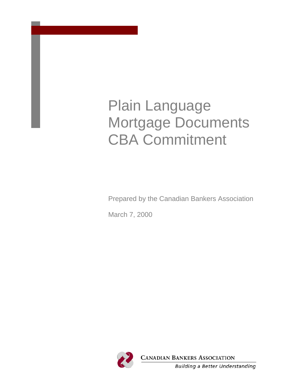# Plain Language Mortgage Documents CBA Commitment

Prepared by the Canadian Bankers Association

March 7, 2000

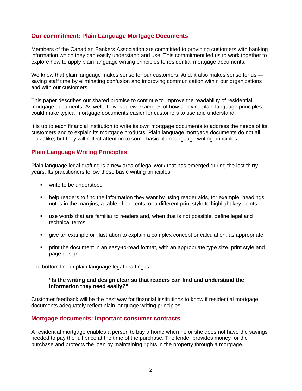# **Our commitment: Plain Language Mortgage Documents**

Members of the Canadian Bankers Association are committed to providing customers with banking information which they can easily understand and use. This commitment led us to work together to explore how to apply plain language writing principles to residential mortgage documents.

We know that plain language makes sense for our customers. And, it also makes sense for us saving staff time by eliminating confusion and improving communication within our organizations and with our customers.

This paper describes our shared promise to continue to improve the readability of residential mortgage documents. As well, it gives a few examples of how applying plain language principles could make typical mortgage documents easier for customers to use and understand.

It is up to each financial institution to write its own mortgage documents to address the needs of its customers and to explain its mortgage products. Plain language mortgage documents do not all look alike, but they will reflect attention to some basic plain language writing principles.

# **Plain Language Writing Principles**

Plain language legal drafting is a new area of legal work that has emerged during the last thirty years. Its practitioners follow these basic writing principles:

- **write to be understood**
- help readers to find the information they want by using reader aids, for example, headings, notes in the margins, a table of contents, or a different print style to highlight key points
- use words that are familiar to readers and, when that is not possible, define legal and technical terms
- give an example or illustration to explain a complex concept or calculation, as appropriate
- print the document in an easy-to-read format, with an appropriate type size, print style and page design.

The bottom line in plain language legal drafting is:

#### **"Is the writing and design clear so that readers can find and understand the information they need easily?"**

Customer feedback will be the best way for financial institutions to know if residential mortgage documents adequately reflect plain language writing principles.

## **Mortgage documents: important consumer contracts**

A residential mortgage enables a person to buy a home when he or she does not have the savings needed to pay the full price at the time of the purchase. The lender provides money for the purchase and protects the loan by maintaining rights in the property through a mortgage.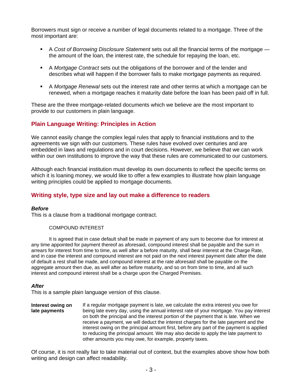Borrowers must sign or receive a number of legal documents related to a mortgage. Three of the most important are:

- A *Cost of Borrowing Disclosure Statement* sets out all the financial terms of the mortgage the amount of the loan, the interest rate, the schedule for repaying the loan, etc.
- A *Mortgage Contract* sets out the obligations of the borrower and of the lender and describes what will happen if the borrower fails to make mortgage payments as required.
- A *Mortgage Renewal* sets out the interest rate and other terms at which a mortgage can be renewed, when a mortgage reaches it maturity date before the loan has been paid off in full.

These are the three mortgage-related documents which we believe are the most important to provide to our customers in plain language.

# **Plain Language Writing: Principles in Action**

We cannot easily change the complex legal rules that apply to financial institutions and to the agreements we sign with our customers. These rules have evolved over centuries and are embedded in laws and regulations and in court decisions. However, we believe that we can work within our own institutions to improve the way that these rules are communicated to our customers.

Although each financial institution must develop its own documents to reflect the specific terms on which it is loaning money, we would like to offer a few examples to illustrate how plain language writing principles could be applied to mortgage documents.

# **Writing style, type size and lay out make a difference to readers**

#### *Before*

This is a clause from a traditional mortgage contract.

#### COMPOUND INTEREST

It is agreed that in case default shall be made in payment of any sum to become due for interest at any time appointed for payment thereof as aforesaid, compound interest shall be payable and the sum in arrears for interest from time to time, as well after a before maturity, shall bear interest at the Charge Rate, and in case the interest and compound interest are not paid on the next interest payment date after the date of default a rest shall be made, and compound interest at the rate aforesaid shall be payable on the aggregate amount then due, as well after as before maturity, and so on from time to time, and all such interest and compound interest shall be a charge upon the Charged Premises.

#### *After*

This is a sample plain language version of this clause.

**Interest owing on late payments** If a regular mortgage payment is late, we calculate the extra interest you owe for being late every day, using the annual interest rate of your mortgage. You pay interest on both the principal and the interest portion of the payment that is late. When we receive a payment, we will deduct the interest charges for the late payment and the interest owing on the principal amount first, before any part of the payment is applied to reducing the principal amount. We may also decide to apply the late payment to other amounts you may owe, for example, property taxes.

Of course, it is not really fair to take material out of context, but the examples above show how both writing and design can affect readability.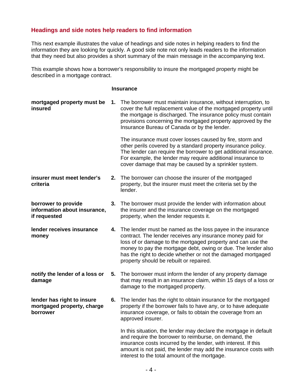# **Headings and side notes help readers to find information**

This next example illustrates the value of headings and side notes in helping readers to find the information they are looking for quickly. A good side note not only leads readers to the information that they need but also provides a short summary of the main message in the accompanying text.

This example shows how a borrower's responsibility to insure the mortgaged property might be described in a mortgage contract.

#### **Insurance**

| mortgaged property must be<br>insured                                |    | 1. The borrower must maintain insurance, without interruption, to<br>cover the full replacement value of the mortgaged property until<br>the mortgage is discharged. The insurance policy must contain<br>provisions concerning the mortgaged property approved by the<br>Insurance Bureau of Canada or by the lender.                                                  |
|----------------------------------------------------------------------|----|-------------------------------------------------------------------------------------------------------------------------------------------------------------------------------------------------------------------------------------------------------------------------------------------------------------------------------------------------------------------------|
|                                                                      |    | The insurance must cover losses caused by fire, storm and<br>other perils covered by a standard property insurance policy.<br>The lender can require the borrower to get additional insurance.<br>For example, the lender may require additional insurance to<br>cover damage that may be caused by a sprinkler system.                                                 |
| insurer must meet lender's<br>criteria                               |    | 2. The borrower can choose the insurer of the mortgaged<br>property, but the insurer must meet the criteria set by the<br>lender.                                                                                                                                                                                                                                       |
| borrower to provide<br>information about insurance,<br>if requested  |    | 3. The borrower must provide the lender with information about<br>the insurer and the insurance coverage on the mortgaged<br>property, when the lender requests it.                                                                                                                                                                                                     |
| lender receives insurance<br>money                                   |    | 4. The lender must be named as the loss payee in the insurance<br>contract. The lender receives any insurance money paid for<br>loss of or damage to the mortgaged property and can use the<br>money to pay the mortgage debt, owing or due. The lender also<br>has the right to decide whether or not the damaged mortgaged<br>property should be rebuilt or repaired. |
| notify the lender of a loss or<br>damage                             |    | 5. The borrower must inform the lender of any property damage<br>that may result in an insurance claim, within 15 days of a loss or<br>damage to the mortgaged property.                                                                                                                                                                                                |
| lender has right to insure<br>mortgaged property, charge<br>borrower | 6. | The lender has the right to obtain insurance for the mortgaged<br>property if the borrower fails to have any, or to have adequate<br>insurance coverage, or fails to obtain the coverage from an<br>approved insurer.                                                                                                                                                   |
|                                                                      |    | In this situation, the lender may declare the mortgage in default<br>and require the borrower to reimburse, on demand, the<br>insurance costs incurred by the lender, with interest. If this<br>amount is not paid, the lender may add the insurance costs with<br>interest to the total amount of the mortgage.                                                        |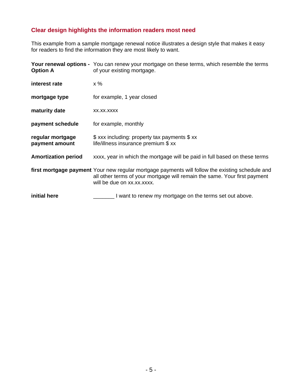# **Clear design highlights the information readers most need**

This example from a sample mortgage renewal notice illustrates a design style that makes it easy for readers to find the information they are most likely to want.

| <b>Option A</b>                    | Your renewal options - You can renew your mortgage on these terms, which resemble the terms<br>of your existing mortgage.                                                                                  |
|------------------------------------|------------------------------------------------------------------------------------------------------------------------------------------------------------------------------------------------------------|
| interest rate                      | $x \%$                                                                                                                                                                                                     |
| mortgage type                      | for example, 1 year closed                                                                                                                                                                                 |
| maturity date                      | XX.XX.XXXX                                                                                                                                                                                                 |
| payment schedule                   | for example, monthly                                                                                                                                                                                       |
| regular mortgage<br>payment amount | \$ xxx including: property tax payments \$ xx<br>life/illness insurance premium \$ xx                                                                                                                      |
| <b>Amortization period</b>         | xxxx, year in which the mortgage will be paid in full based on these terms                                                                                                                                 |
|                                    | first mortgage payment Your new regular mortgage payments will follow the existing schedule and<br>all other terms of your mortgage will remain the same. Your first payment<br>will be due on xx.xx.xxxx. |
| initial here                       | I want to renew my mortgage on the terms set out above.                                                                                                                                                    |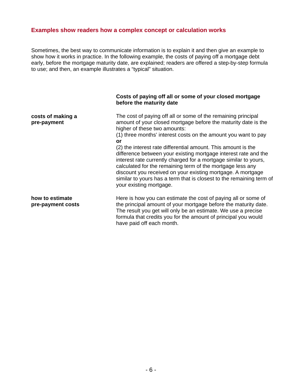## **Examples show readers how a complex concept or calculation works**

Sometimes, the best way to communicate information is to explain it and then give an example to show how it works in practice. In the following example, the costs of paying off a mortgage debt early, before the mortgage maturity date, are explained; readers are offered a step-by-step formula to use; and then, an example illustrates a "typical" situation.

#### **Costs of paying off all or some of your closed mortgage before the maturity date**

The cost of paying off all or some of the remaining principal amount of your closed mortgage before the maturity date is the higher of these two amounts:

(1) three months' interest costs on the amount you want to pay **or**

(2) the interest rate differential amount. This amount is the difference between your existing mortgage interest rate and the interest rate currently charged for a mortgage similar to yours, calculated for the remaining term of the mortgage less any discount you received on your existing mortgage. A mortgage similar to yours has a term that is closest to the remaining term of your existing mortgage.

**how to estimate pre-payment costs**

**costs of making a pre-payment**

> Here is how you can estimate the cost of paying all or some of the principal amount of your mortgage before the maturity date. The result you get will only be an estimate. We use a precise formula that credits you for the amount of principal you would have paid off each month.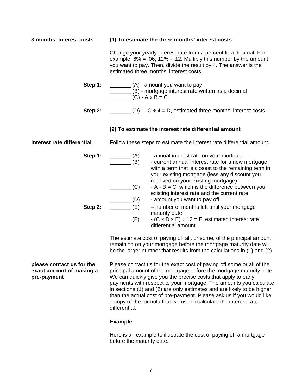**3 months' interest costs (1) To estimate the three months' interest costs** Change your yearly interest rate from a percent to a decimal. For example,  $6\% = .06$ ; 12% - .12. Multiply this number by the amount you want to pay. Then, divide the result by 4. The answer is the estimated three months' interest costs. **Step 1:** \_\_\_\_\_\_\_\_\_ (A) - amount you want to pay \_\_\_\_\_\_\_ (B) - mortgage interest rate written as a decimal  $(C) - A \times B = C$ **Step 2:**  $\begin{bmatrix} 2. & 2 \end{bmatrix}$  (D)  $\cdot$  C  $\div$  4 = D, estimated three months' interest costs **(2) To estimate the interest rate differential amount interest rate differential** Follow these steps to estimate the interest rate differential amount. **Step 1:** \_\_\_\_\_\_\_\_ (A) - annual interest rate on your mortgage \_\_\_\_\_\_\_ (B) - current annual interest rate for a new mortgage with a term that is closest to the remaining term in your existing mortgage (less any discount you received on your existing mortgage)  $\Box$  (C) - A - B = C, which is the difference between your existing interest rate and the current rate (D) - amount you want to pay off<br>(E) - number of months left until **Step 2:**  $(E)$  – number of months left until your mortgage maturity date  $\begin{array}{ccc} \hline \end{array}$  (F) - (C x D x E) ÷ 12 = F, estimated interest rate differential amount The estimate cost of paying off all, or some, of the principal amount remaining on your mortgage before the mortgage maturity date will be the larger number that results from the calculations in (1) and (2).

**please contact us for the exact amount of making a pre-payment** Please contact us for the exact cost of paying off some or all of the principal amount of the mortgage before the mortgage maturity date. We can quickly give you the precise costs that apply to early payments with respect to your mortgage. The amounts you calculate in sections (1) and (2) are only estimates and are likely to be higher than the actual cost of pre-payment. Please ask us if you would like a copy of the formula that we use to calculate the interest rate differential.

## **Example**

Here is an example to illustrate the cost of paying off a mortgage before the maturity date.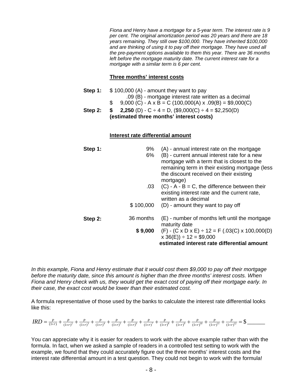*Fiona and Henry have a mortgage for a 5-year term. The interest rate is 9 per cent. The original amortization period was 20 years and there are 18 years remaining. They still owe \$100,000. They have inherited \$100,000 and are thinking of using it to pay off their mortgage. They have used all the pre-payment options available to them this year. There are 36 months left before the mortgage maturity date. The current interest rate for a mortgage with a similar term is 6 per cent.* 

#### **Three months' interest costs**

**Step 1:** \$ 100,000 (A) - amount they want to pay .09 (B) - mortgage interest rate written as a decimal  $$ 9,000 (C) - A \times B = C (100,000(A) \times .09(B) = $9,000(C)$ **Step 2: \$** 2,250 (D)  $\cdot$  C  $\div$  4 = D, (\$9,000(C)  $\div$  4 = \$2,250(D) **(estimated three months' interest costs)** 

#### **Interest rate differential amount**

| Step 1: | 9%<br>6%  | (A) - annual interest rate on the mortgage<br>(B) - current annual interest rate for a new<br>mortgage with a term that is closest to the<br>remaining term in their existing mortgage (less<br>the discount received on their existing<br>mortgage) |
|---------|-----------|------------------------------------------------------------------------------------------------------------------------------------------------------------------------------------------------------------------------------------------------------|
|         | .03       | $(C) - A - B = C$ , the difference between their<br>existing interest rate and the current rate,<br>written as a decimal                                                                                                                             |
|         |           | $$100,000$ (D) - amount they want to pay off                                                                                                                                                                                                         |
| Step 2: | 36 months | (E) - number of months left until the mortgage<br>maturity date                                                                                                                                                                                      |
|         |           | \$ 9,000 (F) - (C x D x E) $\div$ 12 = F (.03(C) x 100,000(D)<br>$x 36(E)$ ÷ 12 = \$9,000                                                                                                                                                            |
|         |           | estimated interest rate differential amount                                                                                                                                                                                                          |

*In this example, Fiona and Henry estimate that it would cost them \$9,000 to pay off their mortgage before the maturity date, since this amount is higher than the three months' interest costs. When Fiona and Henry check with us, they would get the exact cost of paying off their mortgage early. In their case, the exact cost would be lower than their estimated cost.* 

A formula representative of those used by the banks to calculate the interest rate differential looks like this:

$$
IRD = \frac{P}{(1+r)} + \frac{P}{(1+r)^2} + \frac{P}{(1+r)^3} + \frac{P}{(1+r)^4} + \frac{P}{(1+r)^5} + \frac{P}{(1+r)^6} + \frac{P}{(1+r)^7} + \frac{P}{(1+r)^8} + \frac{P}{(1+r)^9} + \frac{P}{(1+r)^{10}} + \frac{P}{(1+r)^{11}} + \frac{P}{(1+r)^{12}} = \text{\$}
$$

You can appreciate why it is easier for readers to work with the above example rather than with the formula. In fact, when we asked a sample of readers in a controlled test setting to work with the example, we found that they could accurately figure out the three months' interest costs and the interest rate differential amount in a test question. They could not begin to work with the formula!